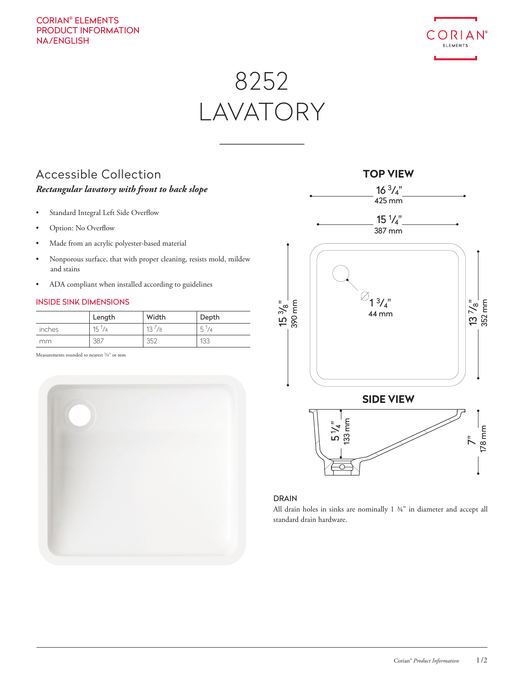## CORIAN® ELEMENTS PRODUCT INFORMATION NA/ENGLISH



# 8252 LAVATORY

# Accessible Collection *Rectangular lavatory with front to back slope*

- Standard Integral Left Side Overflow
- Option: No Overflow
- Made from an acrylic polyester-based material
- Nonporous surface, that with proper cleaning, resists mold, mildew and stains
- ADA compliant when installed according to guidelines

#### INSIDE SINK DIMENSIONS

|        | Length          | Width      | Depth          |
|--------|-----------------|------------|----------------|
| inches | $15\frac{1}{4}$ | $13^{1/8}$ | $5\frac{1}{4}$ |
| mm     | 387             | 352        | 133            |

Measurements rounded to nearest <sup>1</sup>/8" or mm





#### DRAIN

All drain holes in sinks are nominally 1 ¾" in diameter and accept all standard drain hardware.